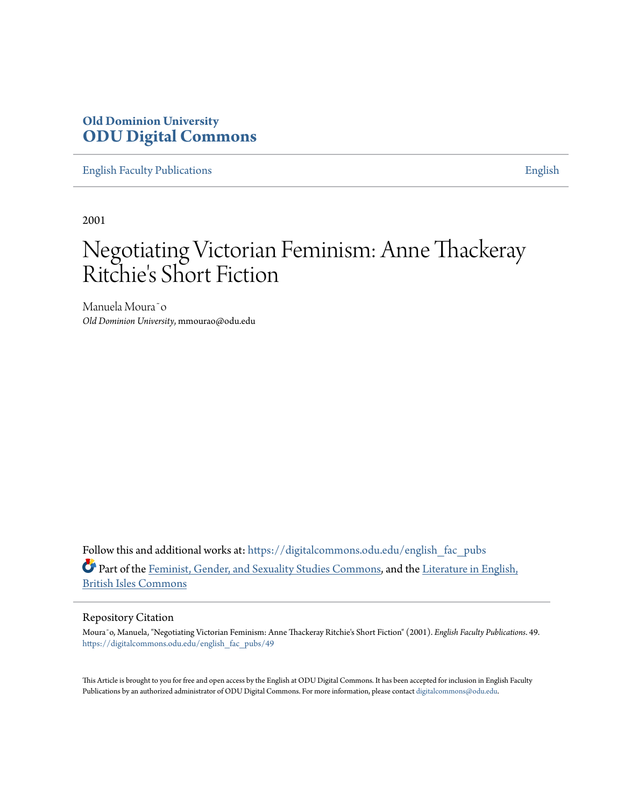## **Old Dominion University [ODU Digital Commons](https://digitalcommons.odu.edu?utm_source=digitalcommons.odu.edu%2Fenglish_fac_pubs%2F49&utm_medium=PDF&utm_campaign=PDFCoverPages)**

[English Faculty Publications](https://digitalcommons.odu.edu/english_fac_pubs?utm_source=digitalcommons.odu.edu%2Fenglish_fac_pubs%2F49&utm_medium=PDF&utm_campaign=PDFCoverPages) **[English](https://digitalcommons.odu.edu/english?utm_source=digitalcommons.odu.edu%2Fenglish_fac_pubs%2F49&utm_medium=PDF&utm_campaign=PDFCoverPages)** 

2001

# Negotiating Victorian Feminism: Anne Thackeray Ritchie's Short Fiction

Manuela Moura<sup>co</sup> *Old Dominion University*, mmourao@odu.edu

Follow this and additional works at: [https://digitalcommons.odu.edu/english\\_fac\\_pubs](https://digitalcommons.odu.edu/english_fac_pubs?utm_source=digitalcommons.odu.edu%2Fenglish_fac_pubs%2F49&utm_medium=PDF&utm_campaign=PDFCoverPages) Part of the [Feminist, Gender, and Sexuality Studies Commons,](http://network.bepress.com/hgg/discipline/559?utm_source=digitalcommons.odu.edu%2Fenglish_fac_pubs%2F49&utm_medium=PDF&utm_campaign=PDFCoverPages) and the [Literature in English,](http://network.bepress.com/hgg/discipline/456?utm_source=digitalcommons.odu.edu%2Fenglish_fac_pubs%2F49&utm_medium=PDF&utm_campaign=PDFCoverPages) [British Isles Commons](http://network.bepress.com/hgg/discipline/456?utm_source=digitalcommons.odu.edu%2Fenglish_fac_pubs%2F49&utm_medium=PDF&utm_campaign=PDFCoverPages)

#### Repository Citation

Mourão, Manuela, "Negotiating Victorian Feminism: Anne Thackeray Ritchie's Short Fiction" (2001). *English Faculty Publications*. 49. [https://digitalcommons.odu.edu/english\\_fac\\_pubs/49](https://digitalcommons.odu.edu/english_fac_pubs/49?utm_source=digitalcommons.odu.edu%2Fenglish_fac_pubs%2F49&utm_medium=PDF&utm_campaign=PDFCoverPages)

This Article is brought to you for free and open access by the English at ODU Digital Commons. It has been accepted for inclusion in English Faculty Publications by an authorized administrator of ODU Digital Commons. For more information, please contact [digitalcommons@odu.edu](mailto:digitalcommons@odu.edu).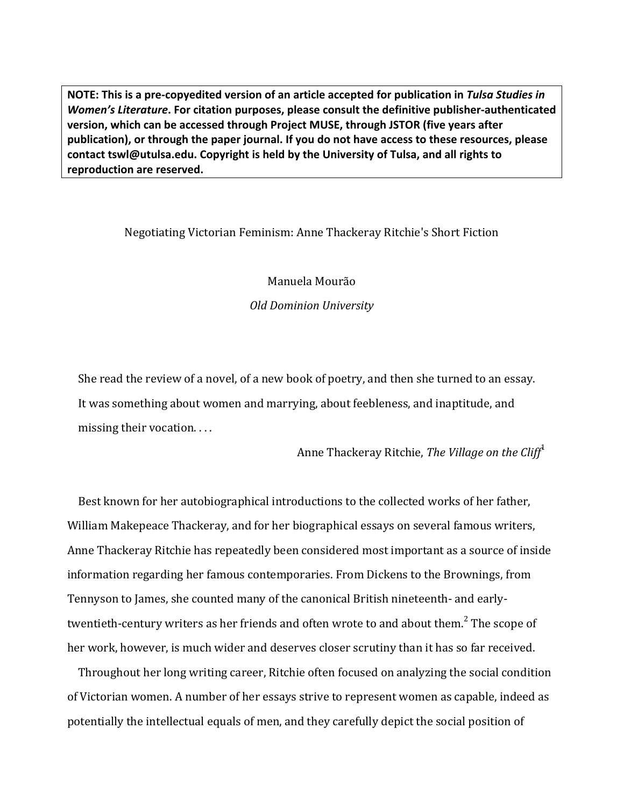**NOTE:** This is a pre-copyedited version of an article accepted for publication in Tulsa Studies in *Women's Literature*. For citation purposes, please consult the definitive publisher-authenticated **version, which can be accessed through Project MUSE, through JSTOR (five years after** publication), or through the paper journal. If you do not have access to these resources, please contact **tswl@utulsa.edu.** Copyright is held by the University of Tulsa, and all rights to reproduction are reserved.

### Negotiating Victorian Feminism: Anne Thackeray Ritchie's Short Fiction

Manuela Mourão

*Old Dominion University*

She read the review of a novel, of a new book of poetry, and then she turned to an essay. It was something about women and marrying, about feebleness, and inaptitude, and missing their vocation.  $\dots$ 

Anne Thackeray Ritchie, *The Village on the Cliff<sup>1</sup>* 

Best known for her autobiographical introductions to the collected works of her father, William Makepeace Thackeray, and for her biographical essays on several famous writers, Anne Thackeray Ritchie has repeatedly been considered most important as a source of inside information regarding her famous contemporaries. From Dickens to the Brownings, from Tennyson to James, she counted many of the canonical British nineteenth- and earlytwentieth-century writers as her friends and often wrote to and about them.<sup>2</sup> The scope of her work, however, is much wider and deserves closer scrutiny than it has so far received.

Throughout her long writing career, Ritchie often focused on analyzing the social condition of Victorian women. A number of her essays strive to represent women as capable, indeed as potentially the intellectual equals of men, and they carefully depict the social position of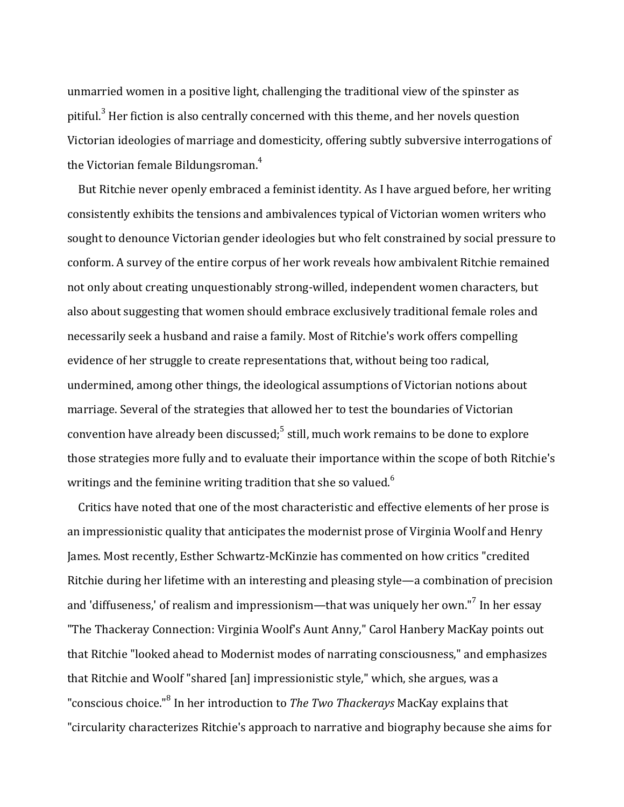unmarried women in a positive light, challenging the traditional view of the spinster as pitiful. $3$  Her fiction is also centrally concerned with this theme, and her novels question Victorian ideologies of marriage and domesticity, offering subtly subversive interrogations of the Victorian female Bildungsroman. $4$ 

But Ritchie never openly embraced a feminist identity. As I have argued before, her writing consistently exhibits the tensions and ambivalences typical of Victorian women writers who sought to denounce Victorian gender ideologies but who felt constrained by social pressure to conform. A survey of the entire corpus of her work reveals how ambivalent Ritchie remained not only about creating unquestionably strong-willed, independent women characters, but also about suggesting that women should embrace exclusively traditional female roles and necessarily seek a husband and raise a family. Most of Ritchie's work offers compelling evidence of her struggle to create representations that, without being too radical, undermined, among other things, the ideological assumptions of Victorian notions about marriage. Several of the strategies that allowed her to test the boundaries of Victorian convention have already been discussed; $<sup>5</sup>$  still, much work remains to be done to explore</sup> those strategies more fully and to evaluate their importance within the scope of both Ritchie's writings and the feminine writing tradition that she so valued.<sup>6</sup>

Critics have noted that one of the most characteristic and effective elements of her prose is an impressionistic quality that anticipates the modernist prose of Virginia Woolf and Henry James. Most recently, Esther Schwartz-McKinzie has commented on how critics "credited Ritchie during her lifetime with an interesting and pleasing style—a combination of precision and 'diffuseness,' of realism and impressionism—that was uniquely her own."<sup>7</sup> In her essay "The Thackeray Connection: Virginia Woolf's Aunt Anny," Carol Hanbery MacKay points out that Ritchie "looked ahead to Modernist modes of narrating consciousness," and emphasizes that Ritchie and Woolf "shared [an] impressionistic style," which, she argues, was a "conscious choice."<sup>8</sup> In her introduction to *The Two Thackerays* MacKay explains that "circularity characterizes Ritchie's approach to narrative and biography because she aims for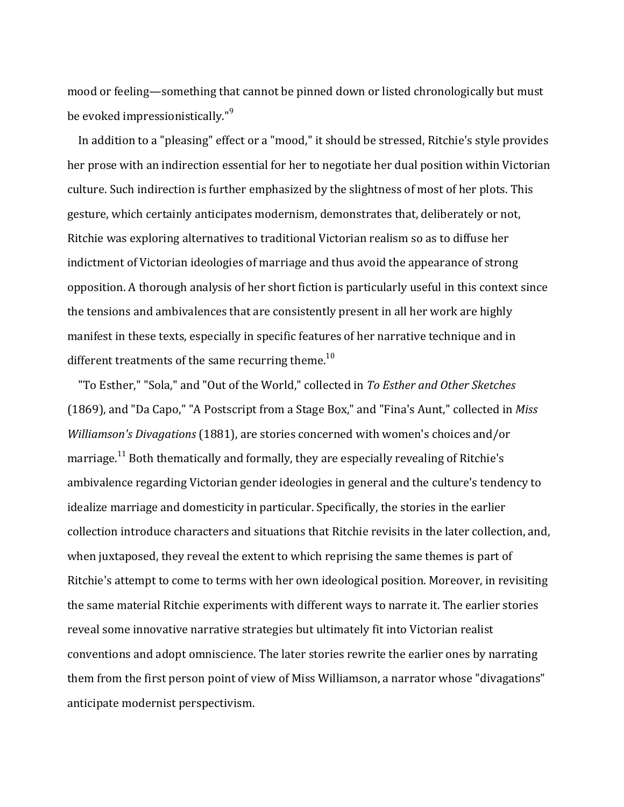mood or feeling—something that cannot be pinned down or listed chronologically but must be evoked impressionistically."<sup>9</sup>

In addition to a "pleasing" effect or a "mood," it should be stressed, Ritchie's style provides her prose with an indirection essential for her to negotiate her dual position within Victorian culture. Such indirection is further emphasized by the slightness of most of her plots. This gesture, which certainly anticipates modernism, demonstrates that, deliberately or not, Ritchie was exploring alternatives to traditional Victorian realism so as to diffuse her indictment of Victorian ideologies of marriage and thus avoid the appearance of strong opposition. A thorough analysis of her short fiction is particularly useful in this context since the tensions and ambivalences that are consistently present in all her work are highly manifest in these texts, especially in specific features of her narrative technique and in different treatments of the same recurring theme.<sup>10</sup>

"To Esther," "Sola," and "Out of the World," collected in To Esther and Other Sketches (1869), and "Da Capo," "A Postscript from a Stage Box," and "Fina's Aunt," collected in *Miss Williamson's Divagations* (1881), are stories concerned with women's choices and/or marriage.<sup>11</sup> Both thematically and formally, they are especially revealing of Ritchie's ambivalence regarding Victorian gender ideologies in general and the culture's tendency to idealize marriage and domesticity in particular. Specifically, the stories in the earlier collection introduce characters and situations that Ritchie revisits in the later collection, and, when juxtaposed, they reveal the extent to which reprising the same themes is part of Ritchie's attempt to come to terms with her own ideological position. Moreover, in revisiting the same material Ritchie experiments with different ways to narrate it. The earlier stories reveal some innovative narrative strategies but ultimately fit into Victorian realist conventions and adopt omniscience. The later stories rewrite the earlier ones by narrating them from the first person point of view of Miss Williamson, a narrator whose "divagations" anticipate modernist perspectivism.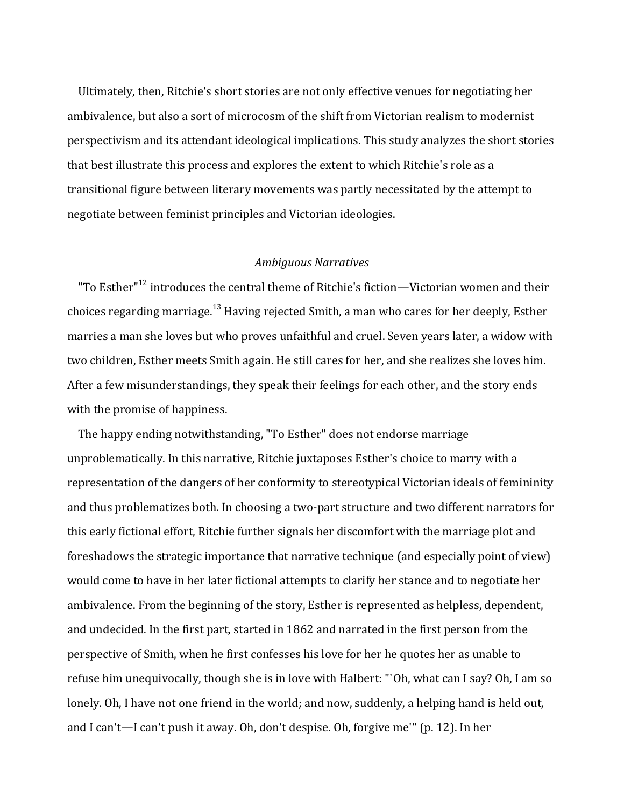Ultimately, then, Ritchie's short stories are not only effective venues for negotiating her ambivalence, but also a sort of microcosm of the shift from Victorian realism to modernist perspectivism and its attendant ideological implications. This study analyzes the short stories that best illustrate this process and explores the extent to which Ritchie's role as a transitional figure between literary movements was partly necessitated by the attempt to negotiate between feminist principles and Victorian ideologies.

#### *Ambiguous Narratives*

"To Esther" $^{12}$  introduces the central theme of Ritchie's fiction—Victorian women and their choices regarding marriage.<sup>13</sup> Having rejected Smith, a man who cares for her deeply, Esther marries a man she loves but who proves unfaithful and cruel. Seven years later, a widow with two children, Esther meets Smith again. He still cares for her, and she realizes she loves him. After a few misunderstandings, they speak their feelings for each other, and the story ends with the promise of happiness.

The happy ending notwithstanding, "To Esther" does not endorse marriage unproblematically. In this narrative, Ritchie juxtaposes Esther's choice to marry with a representation of the dangers of her conformity to stereotypical Victorian ideals of femininity and thus problematizes both. In choosing a two-part structure and two different narrators for this early fictional effort, Ritchie further signals her discomfort with the marriage plot and foreshadows the strategic importance that narrative technique (and especially point of view) would come to have in her later fictional attempts to clarify her stance and to negotiate her ambivalence. From the beginning of the story, Esther is represented as helpless, dependent, and undecided. In the first part, started in 1862 and narrated in the first person from the perspective of Smith, when he first confesses his love for her he quotes her as unable to refuse him unequivocally, though she is in love with Halbert: "`Oh, what can I say? Oh, I am so lonely. Oh, I have not one friend in the world; and now, suddenly, a helping hand is held out, and I can't—I can't push it away. Oh, don't despise. Oh, forgive me'" (p. 12). In her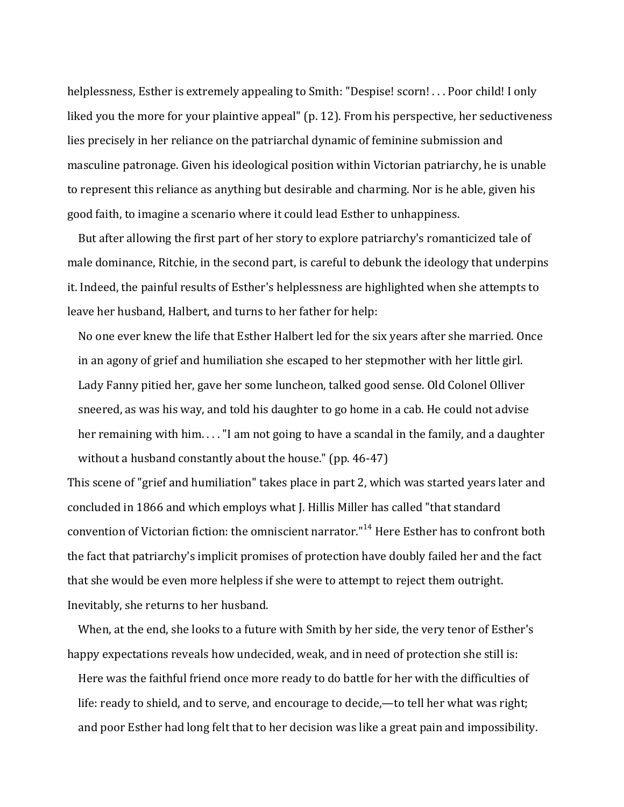helplessness, Esther is extremely appealing to Smith: "Despise! scorn! ... Poor child! I only liked you the more for your plaintive appeal" (p. 12). From his perspective, her seductiveness lies precisely in her reliance on the patriarchal dynamic of feminine submission and masculine patronage. Given his ideological position within Victorian patriarchy, he is unable to represent this reliance as anything but desirable and charming. Nor is he able, given his good faith, to imagine a scenario where it could lead Esther to unhappiness.

But after allowing the first part of her story to explore patriarchy's romanticized tale of male dominance, Ritchie, in the second part, is careful to debunk the ideology that underpins it. Indeed, the painful results of Esther's helplessness are highlighted when she attempts to leave her husband, Halbert, and turns to her father for help:

No one ever knew the life that Esther Halbert led for the six years after she married. Once in an agony of grief and humiliation she escaped to her stepmother with her little girl. Lady Fanny pitied her, gave her some luncheon, talked good sense. Old Colonel Olliver sneered, as was his way, and told his daughter to go home in a cab. He could not advise her remaining with him.  $\dots$  "I am not going to have a scandal in the family, and a daughter without a husband constantly about the house."  $(pp. 46-47)$ 

This scene of "grief and humiliation" takes place in part 2, which was started years later and concluded in 1866 and which employs what J. Hillis Miller has called "that standard convention of Victorian fiction: the omniscient narrator."<sup>14</sup> Here Esther has to confront both the fact that patriarchy's implicit promises of protection have doubly failed her and the fact that she would be even more helpless if she were to attempt to reject them outright. Inevitably, she returns to her husband.

When, at the end, she looks to a future with Smith by her side, the very tenor of Esther's happy expectations reveals how undecided, weak, and in need of protection she still is:

Here was the faithful friend once more ready to do battle for her with the difficulties of life: ready to shield, and to serve, and encourage to decide,—to tell her what was right; and poor Esther had long felt that to her decision was like a great pain and impossibility.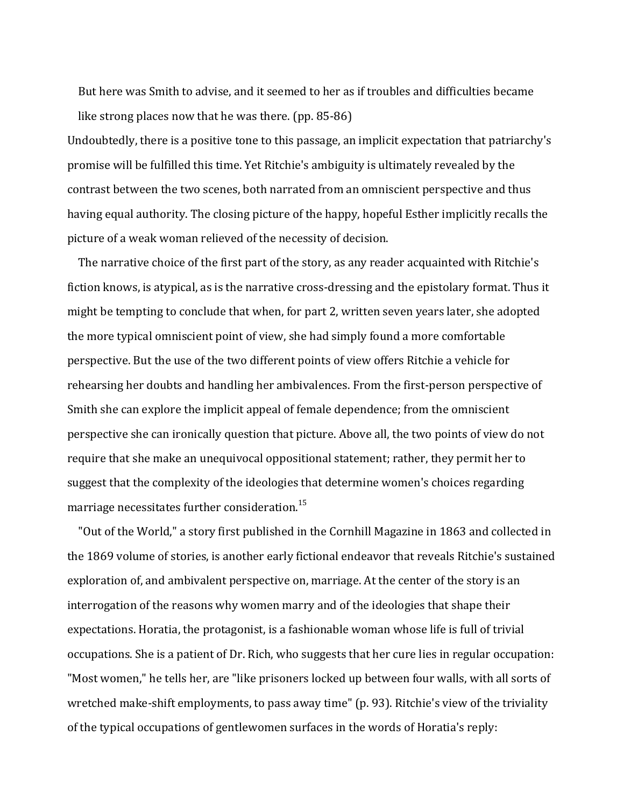But here was Smith to advise, and it seemed to her as if troubles and difficulties became like strong places now that he was there.  $(pp. 85-86)$ 

Undoubtedly, there is a positive tone to this passage, an implicit expectation that patriarchy's promise will be fulfilled this time. Yet Ritchie's ambiguity is ultimately revealed by the contrast between the two scenes, both narrated from an omniscient perspective and thus having equal authority. The closing picture of the happy, hopeful Esther implicitly recalls the picture of a weak woman relieved of the necessity of decision.

The narrative choice of the first part of the story, as any reader acquainted with Ritchie's fiction knows, is atypical, as is the narrative cross-dressing and the epistolary format. Thus it might be tempting to conclude that when, for part 2, written seven years later, she adopted the more typical omniscient point of view, she had simply found a more comfortable perspective. But the use of the two different points of view offers Ritchie a vehicle for rehearsing her doubts and handling her ambivalences. From the first-person perspective of Smith she can explore the implicit appeal of female dependence; from the omniscient perspective she can ironically question that picture. Above all, the two points of view do not require that she make an unequivocal oppositional statement; rather, they permit her to suggest that the complexity of the ideologies that determine women's choices regarding marriage necessitates further consideration.<sup>15</sup>

"Out of the World," a story first published in the Cornhill Magazine in 1863 and collected in the 1869 volume of stories, is another early fictional endeavor that reveals Ritchie's sustained exploration of, and ambivalent perspective on, marriage. At the center of the story is an interrogation of the reasons why women marry and of the ideologies that shape their expectations. Horatia, the protagonist, is a fashionable woman whose life is full of trivial occupations. She is a patient of Dr. Rich, who suggests that her cure lies in regular occupation: "Most women," he tells her, are "like prisoners locked up between four walls, with all sorts of wretched make-shift employments, to pass away time" (p. 93). Ritchie's view of the triviality of the typical occupations of gentlewomen surfaces in the words of Horatia's reply: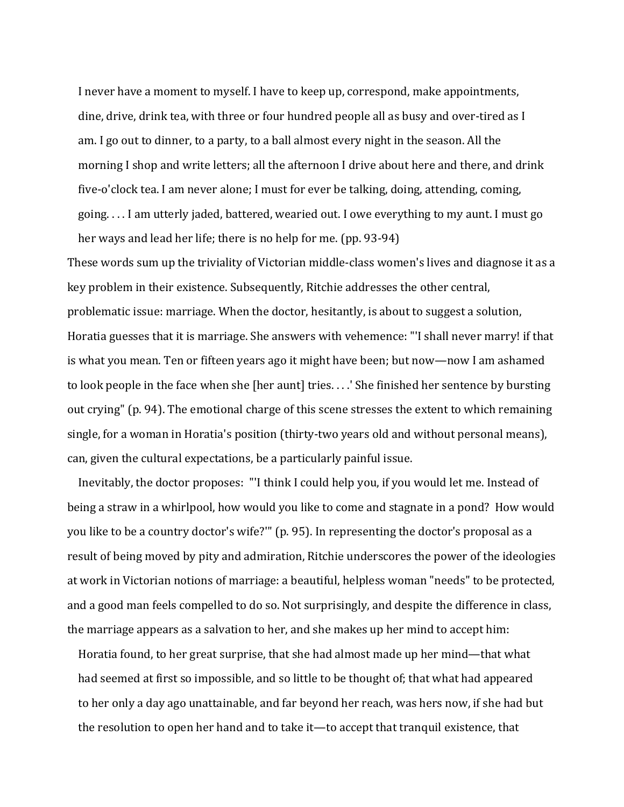I never have a moment to myself. I have to keep up, correspond, make appointments, dine, drive, drink tea, with three or four hundred people all as busy and over-tired as I am. I go out to dinner, to a party, to a ball almost every night in the season. All the morning I shop and write letters; all the afternoon I drive about here and there, and drink five-o'clock tea. I am never alone; I must for ever be talking, doing, attending, coming, going.... I am utterly jaded, battered, wearied out. I owe everything to my aunt. I must go her ways and lead her life; there is no help for me.  $(pp. 93-94)$ 

These words sum up the triviality of Victorian middle-class women's lives and diagnose it as a key problem in their existence. Subsequently, Ritchie addresses the other central, problematic issue: marriage. When the doctor, hesitantly, is about to suggest a solution, Horatia guesses that it is marriage. She answers with vehemence: "'I shall never marry! if that is what you mean. Ten or fifteen years ago it might have been; but now—now I am ashamed to look people in the face when she [her aunt] tries. . . .' She finished her sentence by bursting out crying" (p. 94). The emotional charge of this scene stresses the extent to which remaining single, for a woman in Horatia's position (thirty-two years old and without personal means), can, given the cultural expectations, be a particularly painful issue.

Inevitably, the doctor proposes: "I think I could help you, if you would let me. Instead of being a straw in a whirlpool, how would you like to come and stagnate in a pond? How would you like to be a country doctor's wife?" (p. 95). In representing the doctor's proposal as a result of being moved by pity and admiration, Ritchie underscores the power of the ideologies at work in Victorian notions of marriage: a beautiful, helpless woman "needs" to be protected, and a good man feels compelled to do so. Not surprisingly, and despite the difference in class, the marriage appears as a salvation to her, and she makes up her mind to accept him:

Horatia found, to her great surprise, that she had almost made up her mind—that what had seemed at first so impossible, and so little to be thought of; that what had appeared to her only a day ago unattainable, and far beyond her reach, was hers now, if she had but the resolution to open her hand and to take it—to accept that tranquil existence, that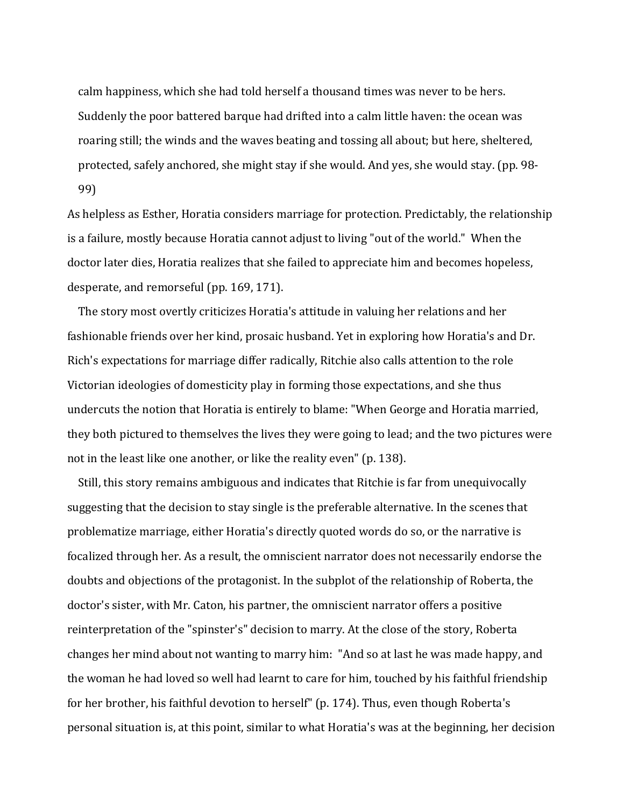calm happiness, which she had told herself a thousand times was never to be hers. Suddenly the poor battered barque had drifted into a calm little haven: the ocean was roaring still; the winds and the waves beating and tossing all about; but here, sheltered, protected, safely anchored, she might stay if she would. And yes, she would stay. (pp. 98-99)

As helpless as Esther, Horatia considers marriage for protection. Predictably, the relationship is a failure, mostly because Horatia cannot adjust to living "out of the world." When the doctor later dies, Horatia realizes that she failed to appreciate him and becomes hopeless, desperate, and remorseful (pp. 169, 171).

The story most overtly criticizes Horatia's attitude in valuing her relations and her fashionable friends over her kind, prosaic husband. Yet in exploring how Horatia's and Dr. Rich's expectations for marriage differ radically, Ritchie also calls attention to the role Victorian ideologies of domesticity play in forming those expectations, and she thus undercuts the notion that Horatia is entirely to blame: "When George and Horatia married, they both pictured to themselves the lives they were going to lead; and the two pictures were not in the least like one another, or like the reality even" (p. 138).

Still, this story remains ambiguous and indicates that Ritchie is far from unequivocally suggesting that the decision to stay single is the preferable alternative. In the scenes that problematize marriage, either Horatia's directly quoted words do so, or the narrative is focalized through her. As a result, the omniscient narrator does not necessarily endorse the doubts and objections of the protagonist. In the subplot of the relationship of Roberta, the doctor's sister, with Mr. Caton, his partner, the omniscient narrator offers a positive reinterpretation of the "spinster's" decision to marry. At the close of the story, Roberta changes her mind about not wanting to marry him: "And so at last he was made happy, and the woman he had loved so well had learnt to care for him, touched by his faithful friendship for her brother, his faithful devotion to herself" (p. 174). Thus, even though Roberta's personal situation is, at this point, similar to what Horatia's was at the beginning, her decision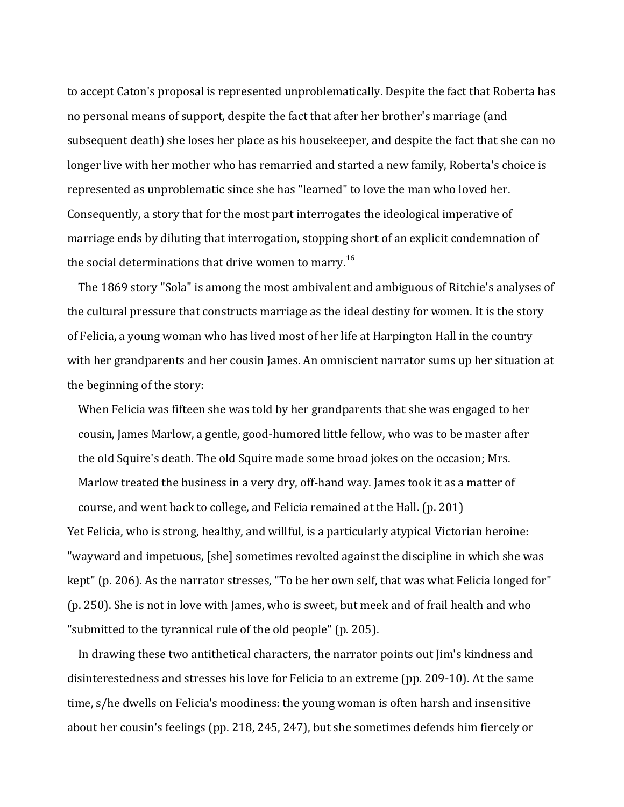to accept Caton's proposal is represented unproblematically. Despite the fact that Roberta has no personal means of support, despite the fact that after her brother's marriage (and subsequent death) she loses her place as his housekeeper, and despite the fact that she can no longer live with her mother who has remarried and started a new family, Roberta's choice is represented as unproblematic since she has "learned" to love the man who loved her. Consequently, a story that for the most part interrogates the ideological imperative of marriage ends by diluting that interrogation, stopping short of an explicit condemnation of the social determinations that drive women to marry.<sup>16</sup>

The 1869 story "Sola" is among the most ambivalent and ambiguous of Ritchie's analyses of the cultural pressure that constructs marriage as the ideal destiny for women. It is the story of Felicia, a young woman who has lived most of her life at Harpington Hall in the country with her grandparents and her cousin James. An omniscient narrator sums up her situation at the beginning of the story:

When Felicia was fifteen she was told by her grandparents that she was engaged to her cousin, James Marlow, a gentle, good-humored little fellow, who was to be master after the old Squire's death. The old Squire made some broad jokes on the occasion; Mrs. Marlow treated the business in a very dry, off-hand way. James took it as a matter of course, and went back to college, and Felicia remained at the Hall. (p. 201) Yet Felicia, who is strong, healthy, and willful, is a particularly atypical Victorian heroine: "wayward and impetuous, [she] sometimes revolted against the discipline in which she was kept" (p. 206). As the narrator stresses, "To be her own self, that was what Felicia longed for" (p. 250). She is not in love with James, who is sweet, but meek and of frail health and who "submitted to the tyrannical rule of the old people" (p. 205).

In drawing these two antithetical characters, the narrator points out Jim's kindness and disinterestedness and stresses his love for Felicia to an extreme (pp. 209-10). At the same time, s/he dwells on Felicia's moodiness: the young woman is often harsh and insensitive about her cousin's feelings (pp. 218, 245, 247), but she sometimes defends him fiercely or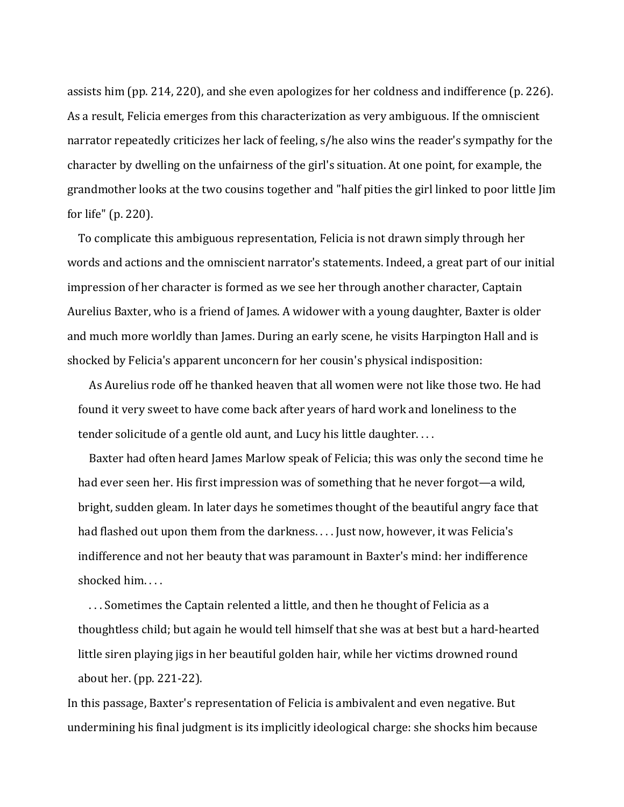assists him (pp. 214, 220), and she even apologizes for her coldness and indifference (p. 226). As a result, Felicia emerges from this characterization as very ambiguous. If the omniscient narrator repeatedly criticizes her lack of feeling, s/he also wins the reader's sympathy for the character by dwelling on the unfairness of the girl's situation. At one point, for example, the grandmother looks at the two cousins together and "half pities the girl linked to poor little Jim for life"  $(p. 220)$ .

To complicate this ambiguous representation, Felicia is not drawn simply through her words and actions and the omniscient narrator's statements. Indeed, a great part of our initial impression of her character is formed as we see her through another character, Captain Aurelius Baxter, who is a friend of James. A widower with a young daughter, Baxter is older and much more worldly than James. During an early scene, he visits Harpington Hall and is shocked by Felicia's apparent unconcern for her cousin's physical indisposition:

As Aurelius rode off he thanked heaven that all women were not like those two. He had found it very sweet to have come back after years of hard work and loneliness to the tender solicitude of a gentle old aunt, and Lucy his little daughter....

Baxter had often heard James Marlow speak of Felicia; this was only the second time he had ever seen her. His first impression was of something that he never forgot—a wild, bright, sudden gleam. In later days he sometimes thought of the beautiful angry face that had flashed out upon them from the darkness. . . . Just now, however, it was Felicia's indifference and not her beauty that was paramount in Baxter's mind: her indifference shocked him....

... Sometimes the Captain relented a little, and then he thought of Felicia as a thoughtless child; but again he would tell himself that she was at best but a hard-hearted little siren playing jigs in her beautiful golden hair, while her victims drowned round about her.  $(pp. 221-22)$ .

In this passage, Baxter's representation of Felicia is ambivalent and even negative. But undermining his final judgment is its implicitly ideological charge: she shocks him because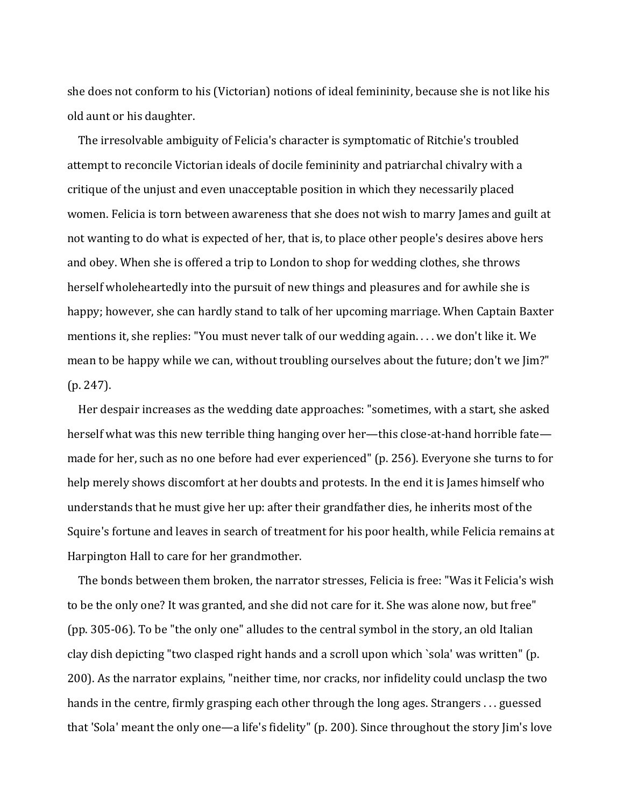she does not conform to his (Victorian) notions of ideal femininity, because she is not like his old aunt or his daughter.

The irresolvable ambiguity of Felicia's character is symptomatic of Ritchie's troubled attempt to reconcile Victorian ideals of docile femininity and patriarchal chivalry with a critique of the unjust and even unacceptable position in which they necessarily placed women. Felicia is torn between awareness that she does not wish to marry James and guilt at not wanting to do what is expected of her, that is, to place other people's desires above hers and obey. When she is offered a trip to London to shop for wedding clothes, she throws herself wholeheartedly into the pursuit of new things and pleasures and for awhile she is happy; however, she can hardly stand to talk of her upcoming marriage. When Captain Baxter mentions it, she replies: "You must never talk of our wedding again. . . . we don't like it. We mean to be happy while we can, without troubling ourselves about the future; don't we [im?"  $(p. 247)$ .

Her despair increases as the wedding date approaches: "sometimes, with a start, she asked herself what was this new terrible thing hanging over her—this close-at-hand horrible fate made for her, such as no one before had ever experienced" (p. 256). Everyone she turns to for help merely shows discomfort at her doubts and protests. In the end it is James himself who understands that he must give her up: after their grandfather dies, he inherits most of the Squire's fortune and leaves in search of treatment for his poor health, while Felicia remains at Harpington Hall to care for her grandmother.

The bonds between them broken, the narrator stresses, Felicia is free: "Was it Felicia's wish to be the only one? It was granted, and she did not care for it. She was alone now, but free" (pp. 305-06). To be "the only one" alludes to the central symbol in the story, an old Italian clay dish depicting "two clasped right hands and a scroll upon which `sola' was written" (p. 200). As the narrator explains, "neither time, nor cracks, nor infidelity could unclasp the two hands in the centre, firmly grasping each other through the long ages. Strangers . . . guessed that 'Sola' meant the only one—a life's fidelity" (p. 200). Since throughout the story Jim's love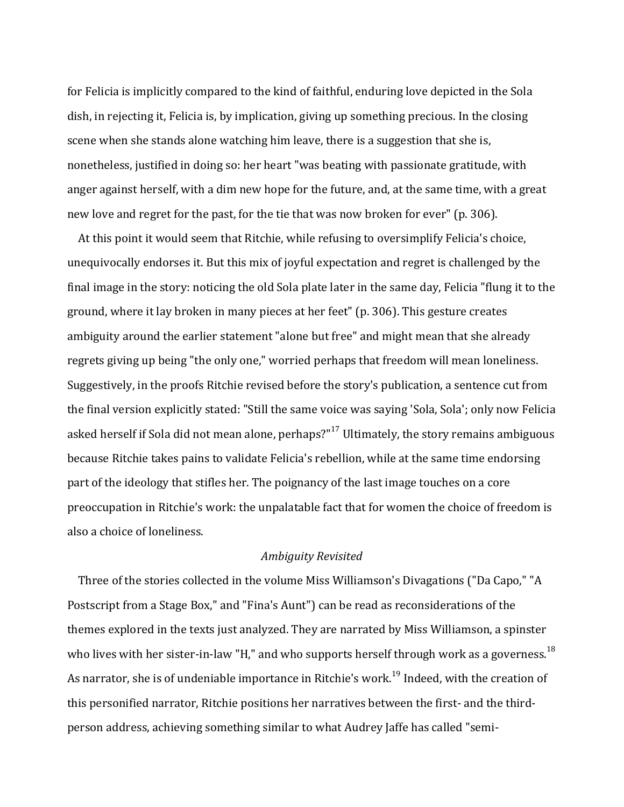for Felicia is implicitly compared to the kind of faithful, enduring love depicted in the Sola dish, in rejecting it, Felicia is, by implication, giving up something precious. In the closing scene when she stands alone watching him leave, there is a suggestion that she is, nonetheless, justified in doing so: her heart "was beating with passionate gratitude, with anger against herself, with a dim new hope for the future, and, at the same time, with a great new love and regret for the past, for the tie that was now broken for ever" (p. 306).

At this point it would seem that Ritchie, while refusing to oversimplify Felicia's choice, unequivocally endorses it. But this mix of joyful expectation and regret is challenged by the final image in the story: noticing the old Sola plate later in the same day, Felicia "flung it to the ground, where it lay broken in many pieces at her feet" (p. 306). This gesture creates ambiguity around the earlier statement "alone but free" and might mean that she already regrets giving up being "the only one," worried perhaps that freedom will mean loneliness. Suggestively, in the proofs Ritchie revised before the story's publication, a sentence cut from the final version explicitly stated: "Still the same voice was saying 'Sola, Sola'; only now Felicia asked herself if Sola did not mean alone, perhaps?" $17$  Ultimately, the story remains ambiguous because Ritchie takes pains to validate Felicia's rebellion, while at the same time endorsing part of the ideology that stifles her. The poignancy of the last image touches on a core preoccupation in Ritchie's work: the unpalatable fact that for women the choice of freedom is also a choice of loneliness.

#### *Ambiguity Revisited*

Three of the stories collected in the volume Miss Williamson's Divagations ("Da Capo," "A Postscript from a Stage Box," and "Fina's Aunt") can be read as reconsiderations of the themes explored in the texts just analyzed. They are narrated by Miss Williamson, a spinster who lives with her sister-in-law "H," and who supports herself through work as a governess.<sup>18</sup> As narrator, she is of undeniable importance in Ritchie's work.<sup>19</sup> Indeed, with the creation of this personified narrator, Ritchie positions her narratives between the first- and the thirdperson address, achieving something similar to what Audrey Jaffe has called "semi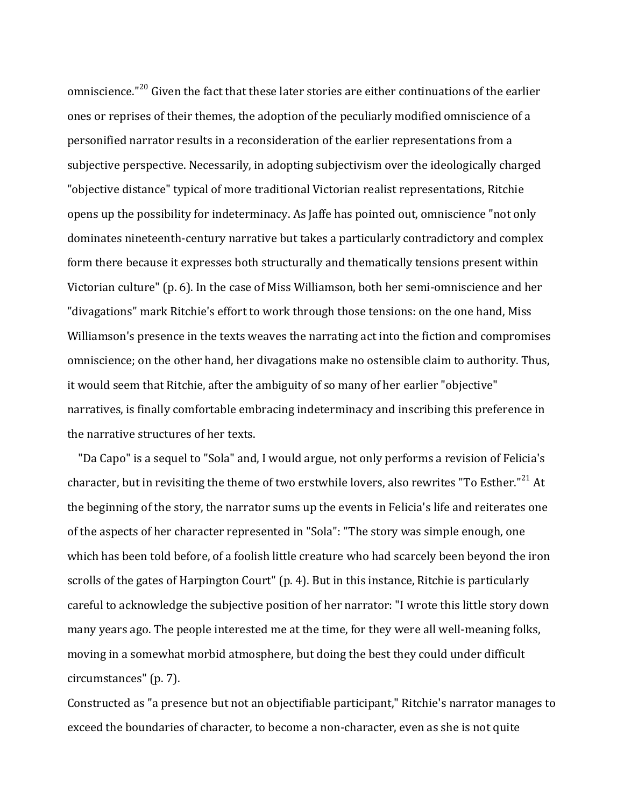omniscience." $^{20}$  Given the fact that these later stories are either continuations of the earlier ones or reprises of their themes, the adoption of the peculiarly modified omniscience of a personified narrator results in a reconsideration of the earlier representations from a subjective perspective. Necessarily, in adopting subjectivism over the ideologically charged "objective distance" typical of more traditional Victorian realist representations, Ritchie opens up the possibility for indeterminacy. As Jaffe has pointed out, omniscience "not only dominates nineteenth-century narrative but takes a particularly contradictory and complex form there because it expresses both structurally and thematically tensions present within Victorian culture"  $(p, 6)$ . In the case of Miss Williamson, both her semi-omniscience and her "divagations" mark Ritchie's effort to work through those tensions: on the one hand, Miss Williamson's presence in the texts weaves the narrating act into the fiction and compromises omniscience; on the other hand, her divagations make no ostensible claim to authority. Thus, it would seem that Ritchie, after the ambiguity of so many of her earlier "objective" narratives, is finally comfortable embracing indeterminacy and inscribing this preference in the narrative structures of her texts.

"Da Capo" is a sequel to "Sola" and, I would argue, not only performs a revision of Felicia's character, but in revisiting the theme of two erstwhile lovers, also rewrites "To Esther."<sup>21</sup> At the beginning of the story, the narrator sums up the events in Felicia's life and reiterates one of the aspects of her character represented in "Sola": "The story was simple enough, one which has been told before, of a foolish little creature who had scarcely been beyond the iron scrolls of the gates of Harpington Court" (p. 4). But in this instance, Ritchie is particularly careful to acknowledge the subjective position of her narrator: "I wrote this little story down many years ago. The people interested me at the time, for they were all well-meaning folks, moving in a somewhat morbid atmosphere, but doing the best they could under difficult circumstances" (p. 7).

Constructed as "a presence but not an objectifiable participant," Ritchie's narrator manages to exceed the boundaries of character, to become a non-character, even as she is not quite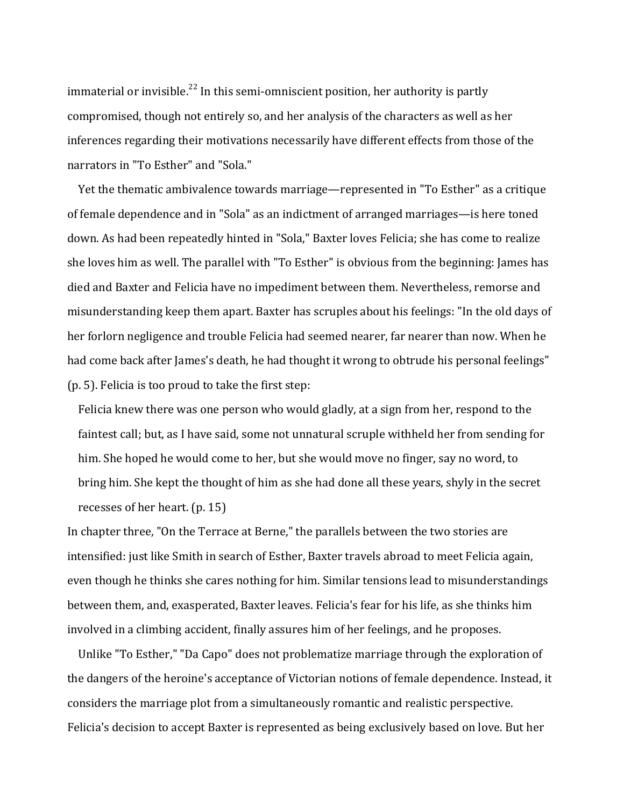immaterial or invisible.<sup>22</sup> In this semi-omniscient position, her authority is partly compromised, though not entirely so, and her analysis of the characters as well as her inferences regarding their motivations necessarily have different effects from those of the narrators in "To Esther" and "Sola."

Yet the thematic ambivalence towards marriage—represented in "To Esther" as a critique of female dependence and in "Sola" as an indictment of arranged marriages—is here toned down. As had been repeatedly hinted in "Sola," Baxter loves Felicia; she has come to realize she loves him as well. The parallel with "To Esther" is obvious from the beginning: James has died and Baxter and Felicia have no impediment between them. Nevertheless, remorse and misunderstanding keep them apart. Baxter has scruples about his feelings: "In the old days of her forlorn negligence and trouble Felicia had seemed nearer, far nearer than now. When he had come back after James's death, he had thought it wrong to obtrude his personal feelings"  $(p. 5)$ . Felicia is too proud to take the first step:

Felicia knew there was one person who would gladly, at a sign from her, respond to the faintest call; but, as I have said, some not unnatural scruple withheld her from sending for him. She hoped he would come to her, but she would move no finger, say no word, to bring him. She kept the thought of him as she had done all these years, shyly in the secret recesses of her heart.  $(p. 15)$ 

In chapter three, "On the Terrace at Berne," the parallels between the two stories are intensified: just like Smith in search of Esther, Baxter travels abroad to meet Felicia again, even though he thinks she cares nothing for him. Similar tensions lead to misunderstandings between them, and, exasperated, Baxter leaves. Felicia's fear for his life, as she thinks him involved in a climbing accident, finally assures him of her feelings, and he proposes.

Unlike "To Esther," "Da Capo" does not problematize marriage through the exploration of the dangers of the heroine's acceptance of Victorian notions of female dependence. Instead, it considers the marriage plot from a simultaneously romantic and realistic perspective. Felicia's decision to accept Baxter is represented as being exclusively based on love. But her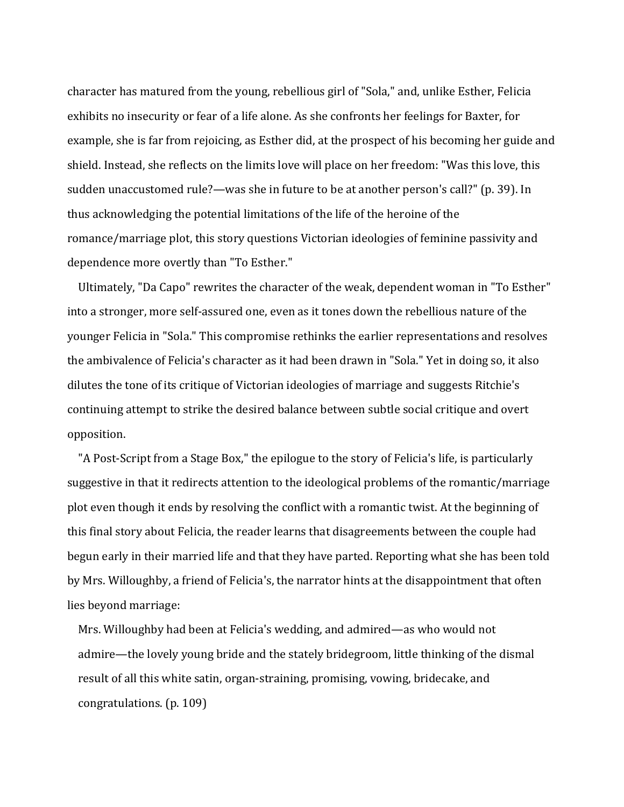character has matured from the young, rebellious girl of "Sola," and, unlike Esther, Felicia exhibits no insecurity or fear of a life alone. As she confronts her feelings for Baxter, for example, she is far from rejoicing, as Esther did, at the prospect of his becoming her guide and shield. Instead, she reflects on the limits love will place on her freedom: "Was this love, this sudden unaccustomed rule?—was she in future to be at another person's call?" (p. 39). In thus acknowledging the potential limitations of the life of the heroine of the romance/marriage plot, this story questions Victorian ideologies of feminine passivity and dependence more overtly than "To Esther."

Ultimately, "Da Capo" rewrites the character of the weak, dependent woman in "To Esther" into a stronger, more self-assured one, even as it tones down the rebellious nature of the younger Felicia in "Sola." This compromise rethinks the earlier representations and resolves the ambivalence of Felicia's character as it had been drawn in "Sola." Yet in doing so, it also dilutes the tone of its critique of Victorian ideologies of marriage and suggests Ritchie's continuing attempt to strike the desired balance between subtle social critique and overt opposition. 

"A Post-Script from a Stage Box," the epilogue to the story of Felicia's life, is particularly suggestive in that it redirects attention to the ideological problems of the romantic/marriage plot even though it ends by resolving the conflict with a romantic twist. At the beginning of this final story about Felicia, the reader learns that disagreements between the couple had begun early in their married life and that they have parted. Reporting what she has been told by Mrs. Willoughby, a friend of Felicia's, the narrator hints at the disappointment that often lies beyond marriage:

Mrs. Willoughby had been at Felicia's wedding, and admired—as who would not admire—the lovely young bride and the stately bridegroom, little thinking of the dismal result of all this white satin, organ-straining, promising, vowing, bridecake, and congratulations. (p. 109)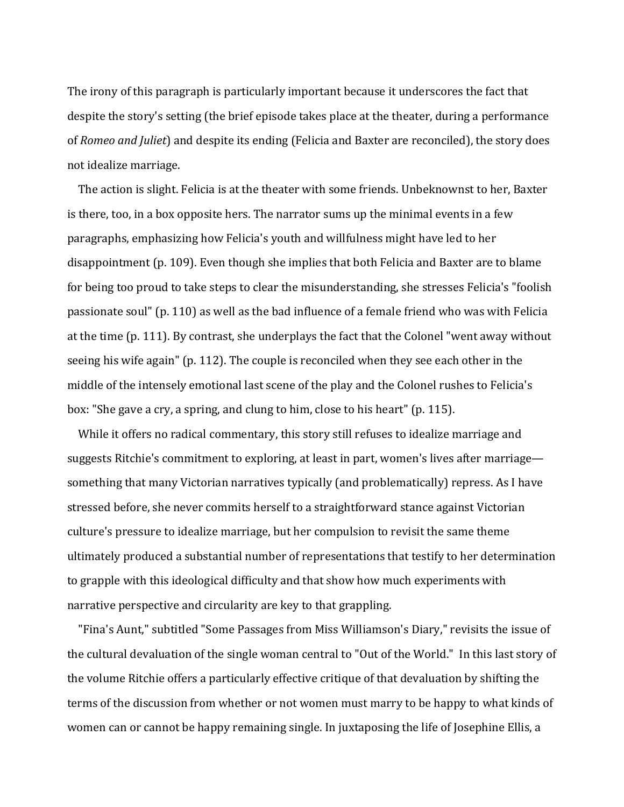The irony of this paragraph is particularly important because it underscores the fact that despite the story's setting (the brief episode takes place at the theater, during a performance of *Romeo and Juliet*) and despite its ending (Felicia and Baxter are reconciled), the story does not idealize marriage.

The action is slight. Felicia is at the theater with some friends. Unbeknownst to her, Baxter is there, too, in a box opposite hers. The narrator sums up the minimal events in a few paragraphs, emphasizing how Felicia's youth and willfulness might have led to her disappointment (p. 109). Even though she implies that both Felicia and Baxter are to blame for being too proud to take steps to clear the misunderstanding, she stresses Felicia's "foolish passionate soul" (p. 110) as well as the bad influence of a female friend who was with Felicia at the time (p. 111). By contrast, she underplays the fact that the Colonel "went away without seeing his wife again" (p. 112). The couple is reconciled when they see each other in the middle of the intensely emotional last scene of the play and the Colonel rushes to Felicia's box: "She gave a cry, a spring, and clung to him, close to his heart"  $(p. 115)$ .

While it offers no radical commentary, this story still refuses to idealize marriage and suggests Ritchie's commitment to exploring, at least in part, women's lives after marriage something that many Victorian narratives typically (and problematically) repress. As I have stressed before, she never commits herself to a straightforward stance against Victorian culture's pressure to idealize marriage, but her compulsion to revisit the same theme ultimately produced a substantial number of representations that testify to her determination to grapple with this ideological difficulty and that show how much experiments with narrative perspective and circularity are key to that grappling.

"Fina's Aunt," subtitled "Some Passages from Miss Williamson's Diary," revisits the issue of the cultural devaluation of the single woman central to "Out of the World." In this last story of the volume Ritchie offers a particularly effective critique of that devaluation by shifting the terms of the discussion from whether or not women must marry to be happy to what kinds of women can or cannot be happy remaining single. In juxtaposing the life of Josephine Ellis, a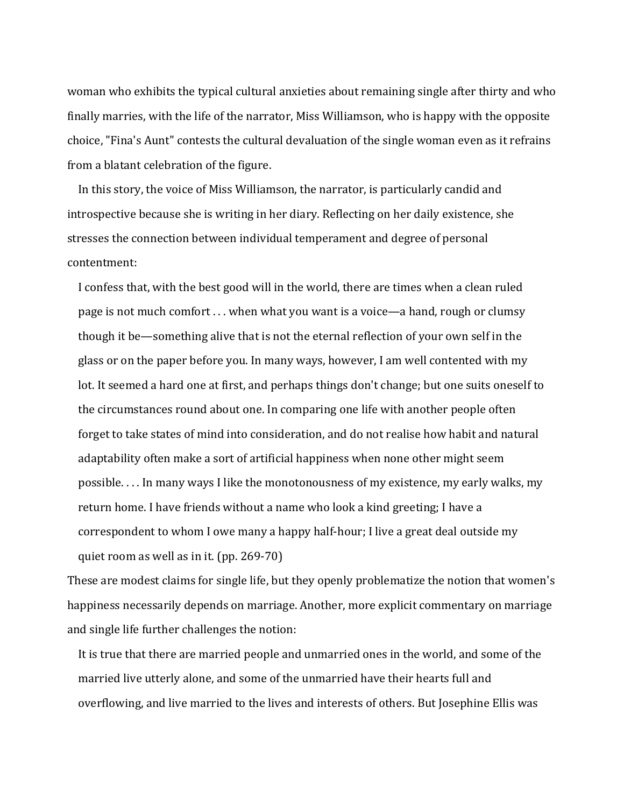woman who exhibits the typical cultural anxieties about remaining single after thirty and who finally marries, with the life of the narrator, Miss Williamson, who is happy with the opposite choice, "Fina's Aunt" contests the cultural devaluation of the single woman even as it refrains from a blatant celebration of the figure.

In this story, the voice of Miss Williamson, the narrator, is particularly candid and introspective because she is writing in her diary. Reflecting on her daily existence, she stresses the connection between individual temperament and degree of personal contentment:

I confess that, with the best good will in the world, there are times when a clean ruled page is not much comfort  $\dots$  when what you want is a voice—a hand, rough or clumsy though it be—something alive that is not the eternal reflection of your own self in the glass or on the paper before you. In many ways, however, I am well contented with my lot. It seemed a hard one at first, and perhaps things don't change; but one suits oneself to the circumstances round about one. In comparing one life with another people often forget to take states of mind into consideration, and do not realise how habit and natural adaptability often make a sort of artificial happiness when none other might seem possible.... In many ways I like the monotonousness of my existence, my early walks, my return home. I have friends without a name who look a kind greeting; I have a correspondent to whom I owe many a happy half-hour; I live a great deal outside my quiet room as well as in it.  $(pp. 269-70)$ 

These are modest claims for single life, but they openly problematize the notion that women's happiness necessarily depends on marriage. Another, more explicit commentary on marriage and single life further challenges the notion:

It is true that there are married people and unmarried ones in the world, and some of the married live utterly alone, and some of the unmarried have their hearts full and overflowing, and live married to the lives and interests of others. But Josephine Ellis was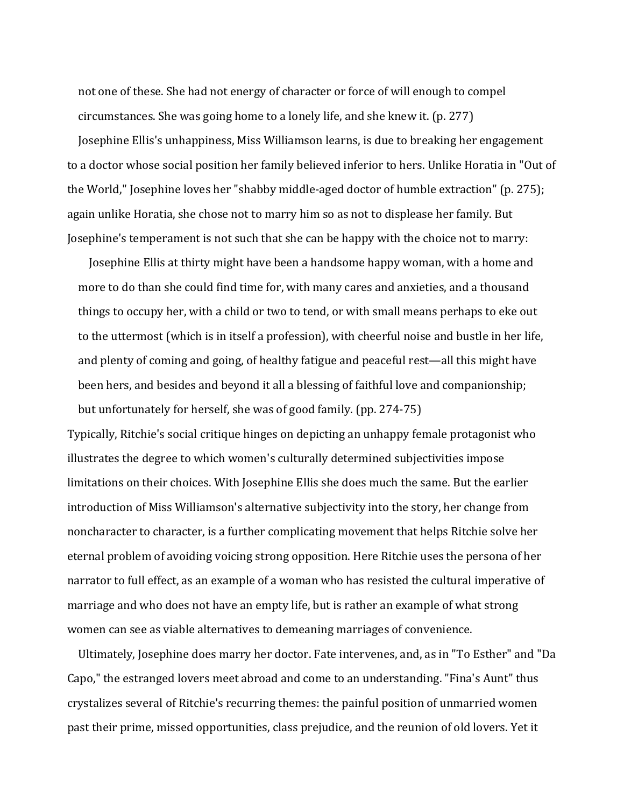not one of these. She had not energy of character or force of will enough to compel circumstances. She was going home to a lonely life, and she knew it.  $(p. 277)$ 

Josephine Ellis's unhappiness, Miss Williamson learns, is due to breaking her engagement to a doctor whose social position her family believed inferior to hers. Unlike Horatia in "Out of the World," Josephine loves her "shabby middle-aged doctor of humble extraction" (p. 275); again unlike Horatia, she chose not to marry him so as not to displease her family. But Josephine's temperament is not such that she can be happy with the choice not to marry:

Josephine Ellis at thirty might have been a handsome happy woman, with a home and more to do than she could find time for, with many cares and anxieties, and a thousand things to occupy her, with a child or two to tend, or with small means perhaps to eke out to the uttermost (which is in itself a profession), with cheerful noise and bustle in her life, and plenty of coming and going, of healthy fatigue and peaceful rest—all this might have been hers, and besides and beyond it all a blessing of faithful love and companionship; but unfortunately for herself, she was of good family. (pp.  $274-75$ )

Typically, Ritchie's social critique hinges on depicting an unhappy female protagonist who illustrates the degree to which women's culturally determined subjectivities impose limitations on their choices. With Josephine Ellis she does much the same. But the earlier introduction of Miss Williamson's alternative subjectivity into the story, her change from noncharacter to character, is a further complicating movement that helps Ritchie solve her eternal problem of avoiding voicing strong opposition. Here Ritchie uses the persona of her narrator to full effect, as an example of a woman who has resisted the cultural imperative of marriage and who does not have an empty life, but is rather an example of what strong women can see as viable alternatives to demeaning marriages of convenience.

Ultimately, Josephine does marry her doctor. Fate intervenes, and, as in "To Esther" and "Da Capo," the estranged lovers meet abroad and come to an understanding. "Fina's Aunt" thus crystalizes several of Ritchie's recurring themes: the painful position of unmarried women past their prime, missed opportunities, class prejudice, and the reunion of old lovers. Yet it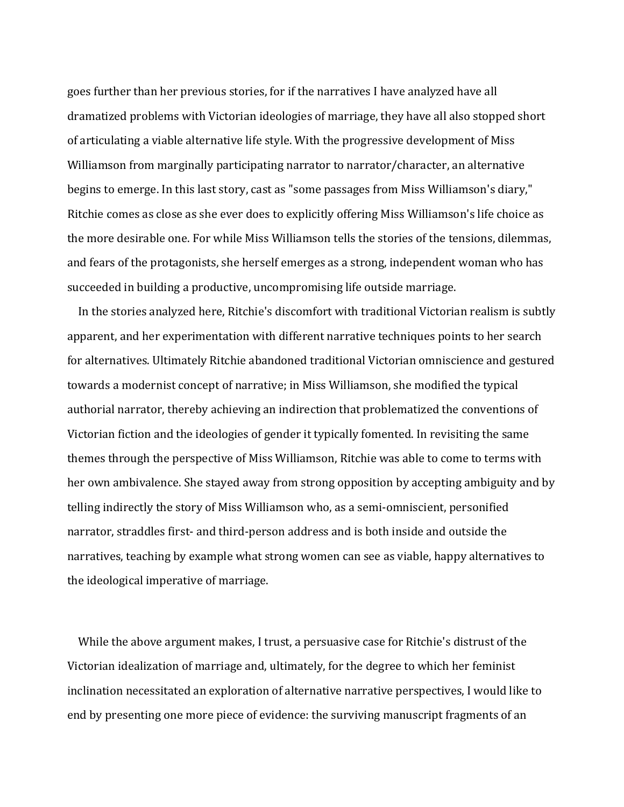goes further than her previous stories, for if the narratives I have analyzed have all dramatized problems with Victorian ideologies of marriage, they have all also stopped short of articulating a viable alternative life style. With the progressive development of Miss Williamson from marginally participating narrator to narrator/character, an alternative begins to emerge. In this last story, cast as "some passages from Miss Williamson's diary," Ritchie comes as close as she ever does to explicitly offering Miss Williamson's life choice as the more desirable one. For while Miss Williamson tells the stories of the tensions, dilemmas, and fears of the protagonists, she herself emerges as a strong, independent woman who has succeeded in building a productive, uncompromising life outside marriage.

In the stories analyzed here, Ritchie's discomfort with traditional Victorian realism is subtly apparent, and her experimentation with different narrative techniques points to her search for alternatives. Ultimately Ritchie abandoned traditional Victorian omniscience and gestured towards a modernist concept of narrative; in Miss Williamson, she modified the typical authorial narrator, thereby achieving an indirection that problematized the conventions of Victorian fiction and the ideologies of gender it typically fomented. In revisiting the same themes through the perspective of Miss Williamson, Ritchie was able to come to terms with her own ambivalence. She stayed away from strong opposition by accepting ambiguity and by telling indirectly the story of Miss Williamson who, as a semi-omniscient, personified narrator, straddles first- and third-person address and is both inside and outside the narratives, teaching by example what strong women can see as viable, happy alternatives to the ideological imperative of marriage.

While the above argument makes, I trust, a persuasive case for Ritchie's distrust of the Victorian idealization of marriage and, ultimately, for the degree to which her feminist inclination necessitated an exploration of alternative narrative perspectives, I would like to end by presenting one more piece of evidence: the surviving manuscript fragments of an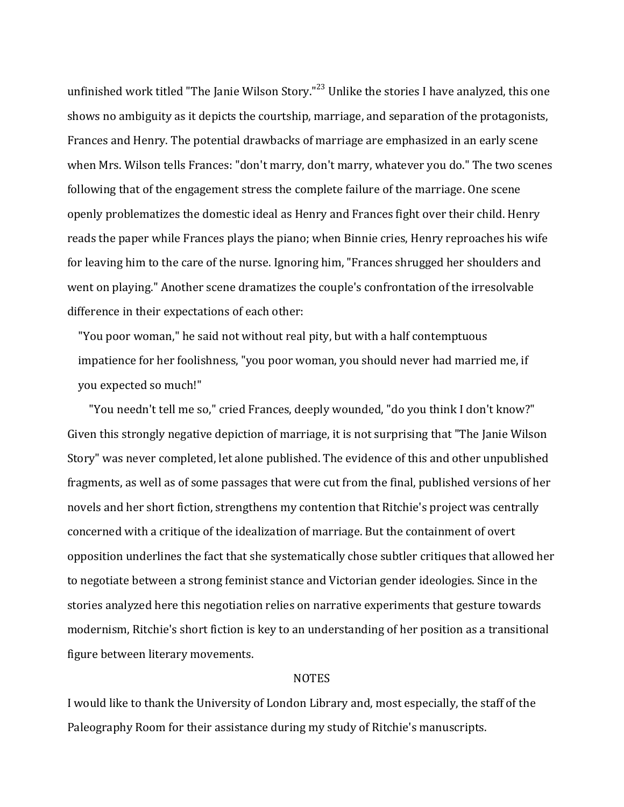unfinished work titled "The Janie Wilson Story."<sup>23</sup> Unlike the stories I have analyzed, this one shows no ambiguity as it depicts the courtship, marriage, and separation of the protagonists, Frances and Henry. The potential drawbacks of marriage are emphasized in an early scene when Mrs. Wilson tells Frances: "don't marry, don't marry, whatever you do." The two scenes following that of the engagement stress the complete failure of the marriage. One scene openly problematizes the domestic ideal as Henry and Frances fight over their child. Henry reads the paper while Frances plays the piano; when Binnie cries, Henry reproaches his wife for leaving him to the care of the nurse. Ignoring him, "Frances shrugged her shoulders and went on playing." Another scene dramatizes the couple's confrontation of the irresolvable difference in their expectations of each other:

"You poor woman," he said not without real pity, but with a half contemptuous impatience for her foolishness, "you poor woman, you should never had married me, if you expected so much!"

"You needn't tell me so," cried Frances, deeply wounded, "do you think I don't know?" Given this strongly negative depiction of marriage, it is not surprising that "The Janie Wilson Story" was never completed, let alone published. The evidence of this and other unpublished fragments, as well as of some passages that were cut from the final, published versions of her novels and her short fiction, strengthens my contention that Ritchie's project was centrally concerned with a critique of the idealization of marriage. But the containment of overt opposition underlines the fact that she systematically chose subtler critiques that allowed her to negotiate between a strong feminist stance and Victorian gender ideologies. Since in the stories analyzed here this negotiation relies on narrative experiments that gesture towards modernism, Ritchie's short fiction is key to an understanding of her position as a transitional figure between literary movements.

#### NOTES

I would like to thank the University of London Library and, most especially, the staff of the Paleography Room for their assistance during my study of Ritchie's manuscripts.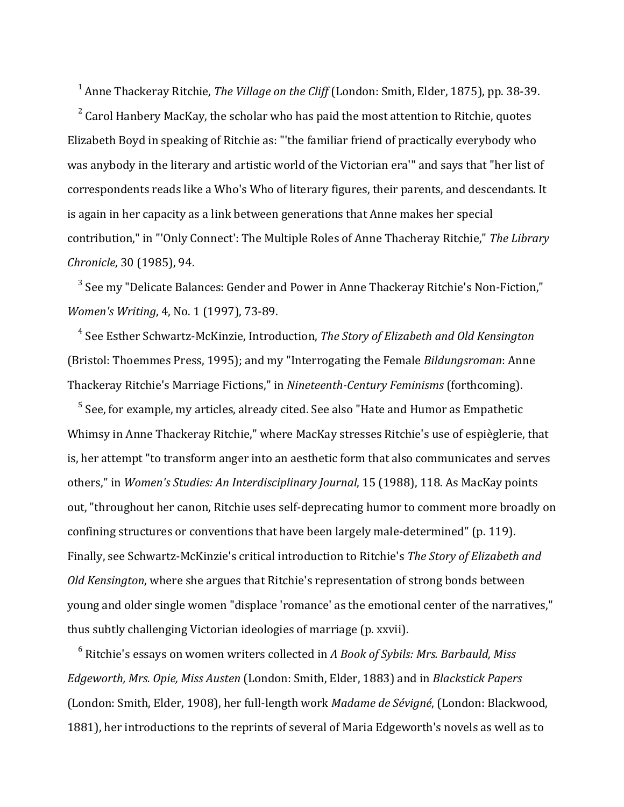<sup>1</sup> Anne Thackeray Ritchie, *The Village on the Cliff* (London: Smith, Elder, 1875), pp. 38-39.

 $2^2$  Carol Hanbery MacKay, the scholar who has paid the most attention to Ritchie, quotes Elizabeth Boyd in speaking of Ritchie as: "'the familiar friend of practically everybody who was anybody in the literary and artistic world of the Victorian era'" and says that "her list of correspondents reads like a Who's Who of literary figures, their parents, and descendants. It is again in her capacity as a link between generations that Anne makes her special contribution," in "'Only Connect': The Multiple Roles of Anne Thacheray Ritchie," The Library *Chronicle*, 30 (1985), 94.

 $3$  See my "Delicate Balances: Gender and Power in Anne Thackeray Ritchie's Non-Fiction." *Women's Writing*, 4, No. 1 (1997), 73-89.

<sup>4</sup> See Esther Schwartz-McKinzie, Introduction, *The Story of Elizabeth and Old Kensington* (Bristol: Thoemmes Press, 1995); and my "Interrogating the Female *Bildungsroman*: Anne Thackeray Ritchie's Marriage Fictions," in *Nineteenth-Century Feminisms* (forthcoming).

 $5$  See, for example, my articles, already cited. See also "Hate and Humor as Empathetic Whimsy in Anne Thackeray Ritchie," where MacKay stresses Ritchie's use of espièglerie, that is, her attempt "to transform anger into an aesthetic form that also communicates and serves others," in *Women's Studies: An Interdisciplinary Journal*, 15 (1988), 118. As MacKay points out, "throughout her canon, Ritchie uses self-deprecating humor to comment more broadly on confining structures or conventions that have been largely male-determined" (p. 119). Finally, see Schwartz-McKinzie's critical introduction to Ritchie's *The Story of Elizabeth and Old Kensington*, where she argues that Ritchie's representation of strong bonds between young and older single women "displace 'romance' as the emotional center of the narratives." thus subtly challenging Victorian ideologies of marriage (p. xxvii).

<sup>6</sup> Ritchie's essays on women writers collected in *A Book of Sybils: Mrs. Barbauld, Miss Edgeworth, Mrs. Opie, Miss Austen* (London: Smith, Elder, 1883) and in *Blackstick Papers* (London: Smith, Elder, 1908), her full-length work Madame de Sévigné, (London: Blackwood, 1881), her introductions to the reprints of several of Maria Edgeworth's novels as well as to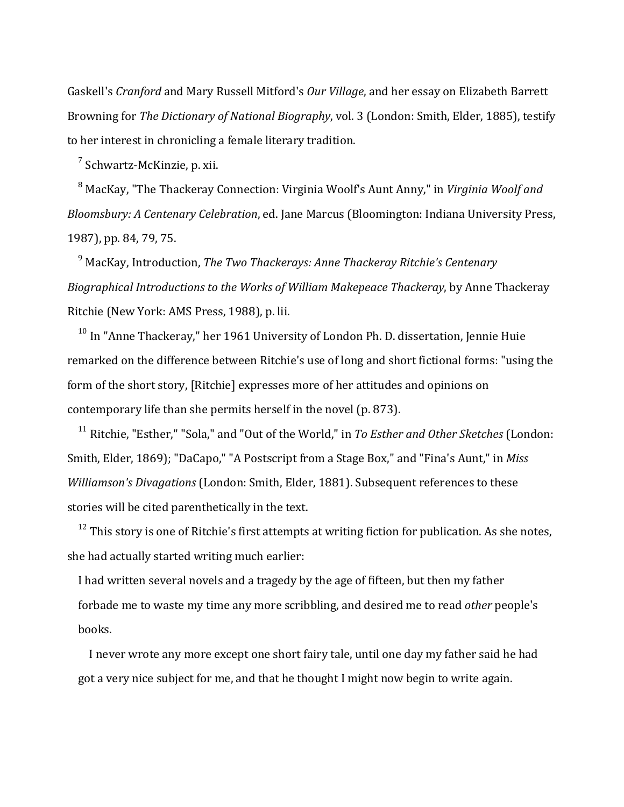Gaskell's *Cranford* and Mary Russell Mitford's *Our Village*, and her essay on Elizabeth Barrett Browning for *The Dictionary of National Biography*, vol. 3 (London: Smith, Elder, 1885), testify to her interest in chronicling a female literary tradition.

 $^7$  Schwartz-McKinzie, p. xii.

<sup>8</sup> MacKay, "The Thackeray Connection: Virginia Woolf's Aunt Anny," in *Virginia Woolf and Bloomsbury: A Centenary Celebration*, ed. Jane Marcus (Bloomington: Indiana University Press, 1987), pp. 84, 79, 75.

<sup>9</sup> MacKay, Introduction, *The Two Thackerays: Anne Thackeray Ritchie's Centenary Biographical Introductions to the Works of William Makepeace Thackeray*, by Anne Thackeray Ritchie (New York: AMS Press, 1988), p. lii.

 $10$  In "Anne Thackeray," her 1961 University of London Ph. D. dissertation, Jennie Huie remarked on the difference between Ritchie's use of long and short fictional forms: "using the form of the short story, [Ritchie] expresses more of her attitudes and opinions on contemporary life than she permits herself in the novel (p. 873).

<sup>11</sup> Ritchie, "Esther," "Sola," and "Out of the World," in *To Esther and Other Sketches* (London: Smith, Elder, 1869); "DaCapo," "A Postscript from a Stage Box," and "Fina's Aunt." in *Miss Williamson's Divagations* (London: Smith, Elder, 1881). Subsequent references to these stories will be cited parenthetically in the text.

 $12$  This story is one of Ritchie's first attempts at writing fiction for publication. As she notes, she had actually started writing much earlier:

I had written several novels and a tragedy by the age of fifteen, but then my father forbade me to waste my time any more scribbling, and desired me to read *other* people's books.

I never wrote any more except one short fairy tale, until one day my father said he had got a very nice subject for me, and that he thought I might now begin to write again.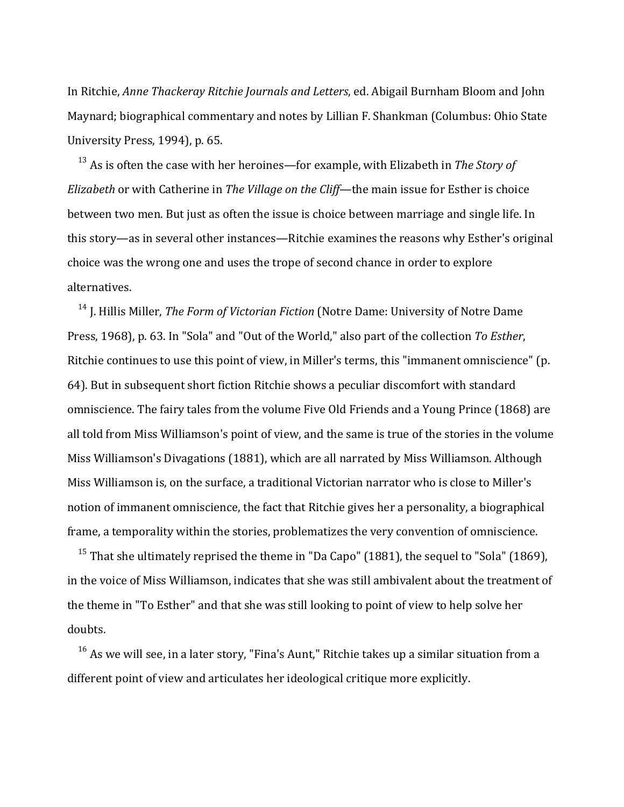In Ritchie, *Anne Thackeray Ritchie Journals and Letters*, ed. Abigail Burnham Bloom and John Maynard; biographical commentary and notes by Lillian F. Shankman (Columbus: Ohio State University Press, 1994), p. 65.

 $13$  As is often the case with her heroines—for example, with Elizabeth in *The Story of Elizabeth* or with Catherine in *The Village on the Cliff*—the main issue for Esther is choice between two men. But just as often the issue is choice between marriage and single life. In this story—as in several other instances—Ritchie examines the reasons why Esther's original choice was the wrong one and uses the trope of second chance in order to explore alternatives.

<sup>14</sup> J. Hillis Miller, *The Form of Victorian Fiction* (Notre Dame: University of Notre Dame Press, 1968), p. 63. In "Sola" and "Out of the World," also part of the collection *To Esther*, Ritchie continues to use this point of view, in Miller's terms, this "immanent omniscience" (p. 64). But in subsequent short fiction Ritchie shows a peculiar discomfort with standard omniscience. The fairy tales from the volume Five Old Friends and a Young Prince (1868) are all told from Miss Williamson's point of view, and the same is true of the stories in the volume Miss Williamson's Divagations (1881), which are all narrated by Miss Williamson. Although Miss Williamson is, on the surface, a traditional Victorian narrator who is close to Miller's notion of immanent omniscience, the fact that Ritchie gives her a personality, a biographical frame, a temporality within the stories, problematizes the very convention of omniscience.

<sup>15</sup> That she ultimately reprised the theme in "Da Capo" (1881), the sequel to "Sola" (1869), in the voice of Miss Williamson, indicates that she was still ambivalent about the treatment of the theme in "To Esther" and that she was still looking to point of view to help solve her doubts.

 $16$  As we will see, in a later story, "Fina's Aunt," Ritchie takes up a similar situation from a different point of view and articulates her ideological critique more explicitly.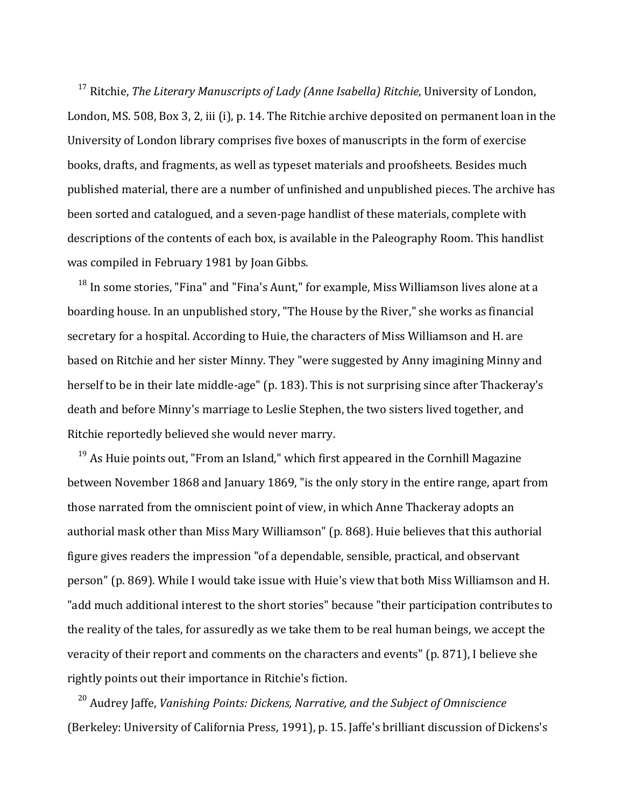<sup>17</sup> Ritchie. *The Literary Manuscripts of Lady (Anne Isabella) Ritchie*, University of London, London, MS. 508, Box 3, 2, iii (i), p. 14. The Ritchie archive deposited on permanent loan in the University of London library comprises five boxes of manuscripts in the form of exercise books, drafts, and fragments, as well as typeset materials and proofsheets. Besides much published material, there are a number of unfinished and unpublished pieces. The archive has been sorted and catalogued, and a seven-page handlist of these materials, complete with descriptions of the contents of each box, is available in the Paleography Room. This handlist was compiled in February 1981 by Joan Gibbs.

 $18$  In some stories, "Fina" and "Fina's Aunt," for example, Miss Williamson lives alone at a boarding house. In an unpublished story, "The House by the River," she works as financial secretary for a hospital. According to Huie, the characters of Miss Williamson and H. are based on Ritchie and her sister Minny. They "were suggested by Anny imagining Minny and herself to be in their late middle-age" (p. 183). This is not surprising since after Thackeray's death and before Minny's marriage to Leslie Stephen, the two sisters lived together, and Ritchie reportedly believed she would never marry.

 $19$  As Huie points out, "From an Island," which first appeared in the Cornhill Magazine between November 1868 and January 1869, "is the only story in the entire range, apart from those narrated from the omniscient point of view, in which Anne Thackeray adopts an authorial mask other than Miss Mary Williamson" (p. 868). Huie believes that this authorial figure gives readers the impression "of a dependable, sensible, practical, and observant person" (p. 869). While I would take issue with Huie's view that both Miss Williamson and H. "add much additional interest to the short stories" because "their participation contributes to the reality of the tales, for assuredly as we take them to be real human beings, we accept the veracity of their report and comments on the characters and events" (p. 871), I believe she rightly points out their importance in Ritchie's fiction.

<sup>20</sup> Audrey Jaffe, *Vanishing Points: Dickens, Narrative, and the Subject of Omniscience* (Berkeley: University of California Press, 1991), p. 15. Jaffe's brilliant discussion of Dickens's